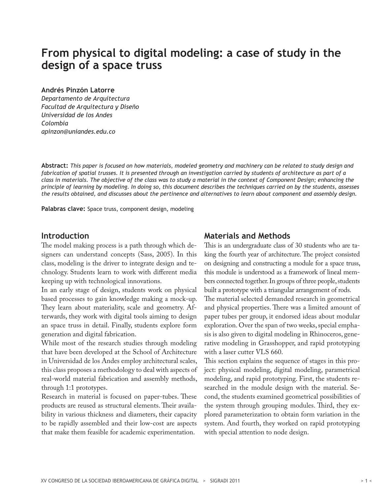# **From physical to digital modeling: a case of study in the design of a space truss**

#### **Andrés Pinzón Latorre**

*Departamento de Arquitectura Facultad de Arquitectura y Diseño Universidad de los Andes Colombia apinzon@uniandes.edu.co*

**Abstract:** *This paper is focused on how materials, modeled geometry and machinery can be related to study design and fabrication of spatial trusses. It is presented through an investigation carried by students of architecture as part of a class in materials. The objective of the class was to study a material in the context of Component Design; enhancing the principle of learning by modeling. In doing so, this document describes the techniques carried on by the students, assesses the results obtained, and discusses about the pertinence and alternatives to learn about component and assembly design.*

**Palabras clave:** Space truss, component design, modeling

## **Introduction**

The model making process is a path through which designers can understand concepts (Sass, 2005). In this class, modeling is the driver to integrate design and technology. Students learn to work with different media keeping up with technological innovations.

In an early stage of design, students work on physical based processes to gain knowledge making a mock-up. They learn about materiality, scale and geometry. Afterwards, they work with digital tools aiming to design an space truss in detail. Finally, students explore form generation and digital fabrication.

While most of the research studies through modeling that have been developed at the School of Architecture in Universidad de los Andes employ architectural scales, this class proposes a methodology to deal with aspects of real-world material fabrication and assembly methods, through 1:1 prototypes.

Research in material is focused on paper-tubes. These products are reused as structural elements. Their availability in various thickness and diameters, their capacity to be rapidly assembled and their low-cost are aspects that make them feasible for academic experimentation.

## **Materials and Methods**

This is an undergraduate class of 30 students who are taking the fourth year of architecture. The project consisted on designing and constructing a module for a space truss, this module is understood as a framework of lineal members connected together. In groups of three people, students built a prototype with a triangular arrangement of rods. The material selected demanded research in geometrical and physical properties. There was a limited amount of paper tubes per group, it endorsed ideas about modular exploration. Over the span of two weeks, special emphasis is also given to digital modeling in Rhinoceros, generative modeling in Grasshopper, and rapid prototyping with a laser cutter VLS 660.

This section explains the sequence of stages in this project: physical modeling, digital modeling, parametrical modeling, and rapid prototyping. First, the students researched in the module design with the material. Second, the students examined geometrical possibilities of the system through grouping modules. Third, they explored parameterization to obtain form variation in the system. And fourth, they worked on rapid prototyping with special attention to node design.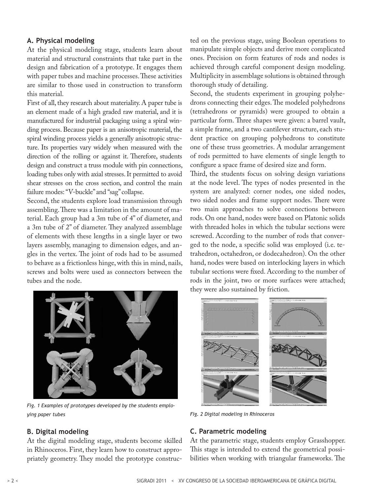## **A. Physical modeling**

At the physical modeling stage, students learn about material and structural constraints that take part in the design and fabrication of a prototype. It engages them with paper tubes and machine processes. These activities are similar to those used in construction to transform this material.

First of all, they research about materiality. A paper tube is an element made of a high graded raw material, and it is manufactured for industrial packaging using a spiral winding process. Because paper is an anisotropic material, the spiral winding process yields a generally anisotropic structure. Its properties vary widely when measured with the direction of the rolling or against it. Therefore, students design and construct a truss module with pin connections, loading tubes only with axial stresses. It permitted to avoid shear stresses on the cross section, and control the main failure modes: "V-buckle" and "sag" collapse.

Second, the students explore load transmission through assembling. There was a limitation in the amount of material. Each group had a 3m tube of 4" of diameter, and a 3m tube of 2" of diameter. They analyzed assemblage of elements with these lengths in a single layer or two layers assembly, managing to dimension edges, and angles in the vertex. The joint of rods had to be assumed to behave as a frictionless hinge, with this in mind, nails, screws and bolts were used as connectors between the tubes and the node.

ted on the previous stage, using Boolean operations to manipulate simple objects and derive more complicated ones. Precision on form features of rods and nodes is achieved through careful component design modeling. Multiplicity in assemblage solutions is obtained through thorough study of detailing.

Second, the students experiment in grouping polyhedrons connecting their edges. The modeled polyhedrons (tetrahedrons or pyramids) were grouped to obtain a particular form. Three shapes were given: a barrel vault, a simple frame, and a two cantilever structure, each student practice on grouping polyhedrons to constitute one of these truss geometries. A modular arrangement of rods permitted to have elements of single length to configure a space frame of desired size and form.

Third, the students focus on solving design variations at the node level. The types of nodes presented in the system are analyzed: corner nodes, one sided nodes, two sided nodes and frame support nodes. There were two main approaches to solve connections between rods. On one hand, nodes were based on Platonic solids with threaded holes in which the tubular sections were screwed. According to the number of rods that converged to the node, a specific solid was employed (i.e. tetrahedron, octahedron, or dodecahedron). On the other hand, nodes were based on interlocking layers in which tubular sections were fixed. According to the number of rods in the joint, two or more surfaces were attached; they were also sustained by friction.



*Fig. 1 Examples of prototypes developed by the students employing paper tubes* 

#### **B. Digital modeling**

At the digital modeling stage, students become skilled in Rhinoceros. First, they learn how to construct appropriately geometry. They model the prototype construc-



*Fig. 2 Digital modeling in Rhinoceros*

### **C. Parametric modeling**

At the parametric stage, students employ Grasshopper. This stage is intended to extend the geometrical possibilities when working with triangular frameworks. The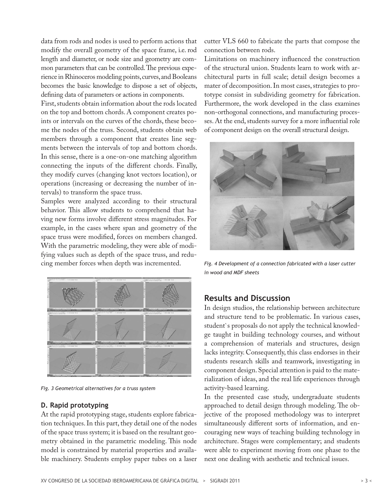data from rods and nodes is used to perform actions that modify the overall geometry of the space frame, i.e. rod length and diameter, or node size and geometry are common parameters that can be controlled. The previous experience in Rhinoceros modeling points, curves, and Booleans becomes the basic knowledge to dispose a set of objects, defining data of parameters or actions in components.

First, students obtain information about the rods located on the top and bottom chords. A component creates points or intervals on the curves of the chords, these become the nodes of the truss. Second, students obtain web members through a component that creates line segments between the intervals of top and bottom chords. In this sense, there is a one-on-one matching algorithm connecting the inputs of the different chords. Finally, they modify curves (changing knot vectors location), or operations (increasing or decreasing the number of intervals) to transform the space truss.

Samples were analyzed according to their structural behavior. This allow students to comprehend that having new forms involve different stress magnitudes. For example, in the cases where span and geometry of the space truss were modified, forces on members changed. With the parametric modeling, they were able of modifying values such as depth of the space truss, and reducing member forces when depth was incremented.



*Fig. 3 Geometrical alternatives for a truss system*

#### **D. Rapid prototyping**

At the rapid prototyping stage, students explore fabrication techniques. In this part, they detail one of the nodes of the space truss system; it is based on the resultant geometry obtained in the parametric modeling. This node model is constrained by material properties and available machinery. Students employ paper tubes on a laser

cutter VLS 660 to fabricate the parts that compose the connection between rods.

Limitations on machinery influenced the construction of the structural union. Students learn to work with architectural parts in full scale; detail design becomes a mater of decomposition. In most cases, strategies to prototype consist in subdividing geometry for fabrication. Furthermore, the work developed in the class examines non-orthogonal connections, and manufacturing processes. At the end, students survey for a more influential role of component design on the overall structural design.



*Fig. 4 Development of a connection fabricated with a laser cutter in wood and MDF sheets* 

## **Results and Discussion**

In design studios, the relationship between architecture and structure tend to be problematic. In various cases, student`s proposals do not apply the technical knowledge taught in building technology courses, and without a comprehension of materials and structures, design lacks integrity. Consequently, this class endorses in their students research skills and teamwork, investigating in component design. Special attention is paid to the materialization of ideas, and the real life experiences through activity-based learning.

In the presented case study, undergraduate students approached to detail design through modeling. The objective of the proposed methodology was to interpret simultaneously different sorts of information, and encouraging new ways of teaching building technology in architecture. Stages were complementary; and students were able to experiment moving from one phase to the next one dealing with aesthetic and technical issues.